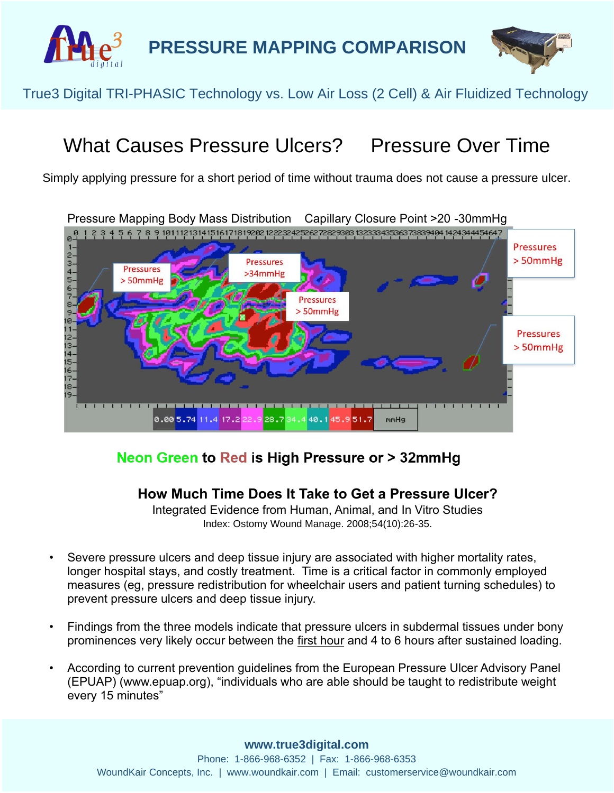



### True3 Digital TRI-PHASIC Technology vs. Low Air Loss (2 Cell) & Air Fluidized Technology.

# What Causes Pressure Ulcers? Pressure Over Time

Simply applying pressure for a short period of time without trauma does not cause a pressure ulcer.



#### Neon Green to Red is High Pressure or > 32mmHg

#### **How Much Time Does It Take to Get a Pressure Ulcer?**

Integrated Evidence from Human, Animal, and In Vitro Studies Index: Ostomy Wound Manage. 2008;54(10):26-35.

- Severe pressure ulcers and deep tissue injury are associated with higher mortality rates, longer hospital stays, and costly treatment. Time is a critical factor in commonly employed measures (eg, pressure redistribution for wheelchair users and patient turning schedules) to prevent pressure ulcers and deep tissue injury.
- Findings from the three models indicate that pressure ulcers in subdermal tissues under bony prominences very likely occur between the first hour and 4 to 6 hours after sustained loading.
- According to current prevention guidelines from the European Pressure Ulcer Advisory Panel (EPUAP) (www.epuap.org), "individuals who are able should be taught to redistribute weight every 15 minutes"